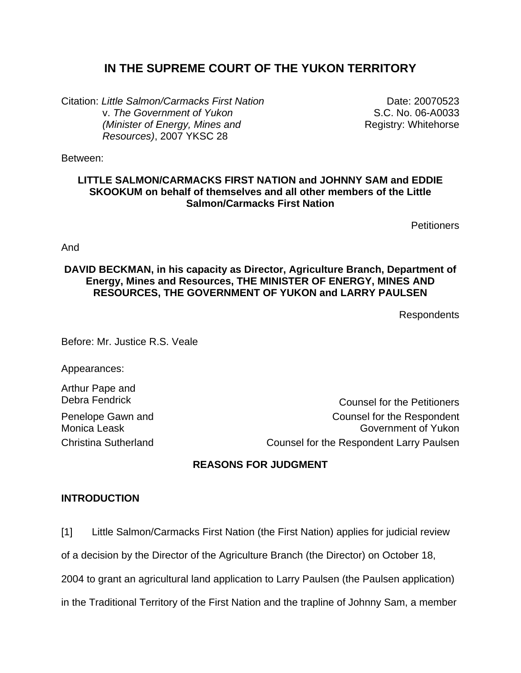# **IN THE SUPREME COURT OF THE YUKON TERRITORY**

Citation: *Little Salmon/Carmacks First Nation* v. *The Government of Yukon (Minister of Energy, Mines and Resources)*, 2007 YKSC 28

Date: 20070523 S.C. No. 06-A0033 Registry: Whitehorse

Between:

# **LITTLE SALMON/CARMACKS FIRST NATION and JOHNNY SAM and EDDIE SKOOKUM on behalf of themselves and all other members of the Little Salmon/Carmacks First Nation**

**Petitioners** 

And

# **DAVID BECKMAN, in his capacity as Director, Agriculture Branch, Department of Energy, Mines and Resources, THE MINISTER OF ENERGY, MINES AND RESOURCES, THE GOVERNMENT OF YUKON and LARRY PAULSEN**

Respondents

Before: Mr. Justice R.S. Veale

Appearances:

Arthur Pape and

Penelope Gawn and Monica Leask

Debra Fendrick Counsel for the Petitioners Counsel for the Respondent Government of Yukon Christina Sutherland Counsel for the Respondent Larry Paulsen

# **REASONS FOR JUDGMENT**

# **INTRODUCTION**

[1] Little Salmon/Carmacks First Nation (the First Nation) applies for judicial review

of a decision by the Director of the Agriculture Branch (the Director) on October 18,

2004 to grant an agricultural land application to Larry Paulsen (the Paulsen application)

in the Traditional Territory of the First Nation and the trapline of Johnny Sam, a member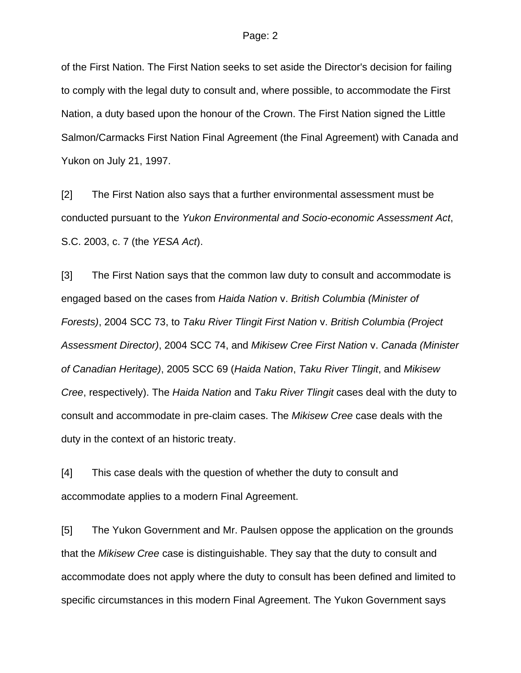of the First Nation. The First Nation seeks to set aside the Director's decision for failing to comply with the legal duty to consult and, where possible, to accommodate the First Nation, a duty based upon the honour of the Crown. The First Nation signed the Little Salmon/Carmacks First Nation Final Agreement (the Final Agreement) with Canada and Yukon on July 21, 1997.

[2] The First Nation also says that a further environmental assessment must be conducted pursuant to the *Yukon Environmental and Socio-economic Assessment Act*, S.C. 2003, c. 7 (the *YESA Act*).

[3] The First Nation says that the common law duty to consult and accommodate is engaged based on the cases from *Haida Nation* v. *British Columbia (Minister of Forests)*, 2004 SCC 73, to *Taku River Tlingit First Nation* v. *British Columbia (Project Assessment Director)*, 2004 SCC 74, and *Mikisew Cree First Nation* v. *Canada (Minister of Canadian Heritage)*, 2005 SCC 69 (*Haida Nation*, *Taku River Tlingit*, and *Mikisew Cree*, respectively). The *Haida Nation* and *Taku River Tlingit* cases deal with the duty to consult and accommodate in pre-claim cases. The *Mikisew Cree* case deals with the duty in the context of an historic treaty.

[4] This case deals with the question of whether the duty to consult and accommodate applies to a modern Final Agreement.

[5] The Yukon Government and Mr. Paulsen oppose the application on the grounds that the *Mikisew Cree* case is distinguishable. They say that the duty to consult and accommodate does not apply where the duty to consult has been defined and limited to specific circumstances in this modern Final Agreement. The Yukon Government says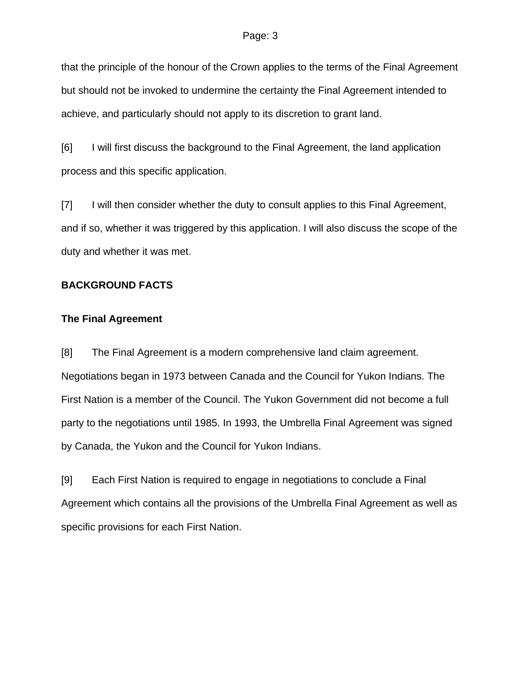that the principle of the honour of the Crown applies to the terms of the Final Agreement but should not be invoked to undermine the certainty the Final Agreement intended to achieve, and particularly should not apply to its discretion to grant land.

[6] I will first discuss the background to the Final Agreement, the land application process and this specific application.

[7] I will then consider whether the duty to consult applies to this Final Agreement, and if so, whether it was triggered by this application. I will also discuss the scope of the duty and whether it was met.

# **BACKGROUND FACTS**

### **The Final Agreement**

[8] The Final Agreement is a modern comprehensive land claim agreement. Negotiations began in 1973 between Canada and the Council for Yukon Indians. The First Nation is a member of the Council. The Yukon Government did not become a full party to the negotiations until 1985. In 1993, the Umbrella Final Agreement was signed by Canada, the Yukon and the Council for Yukon Indians.

[9] Each First Nation is required to engage in negotiations to conclude a Final Agreement which contains all the provisions of the Umbrella Final Agreement as well as specific provisions for each First Nation.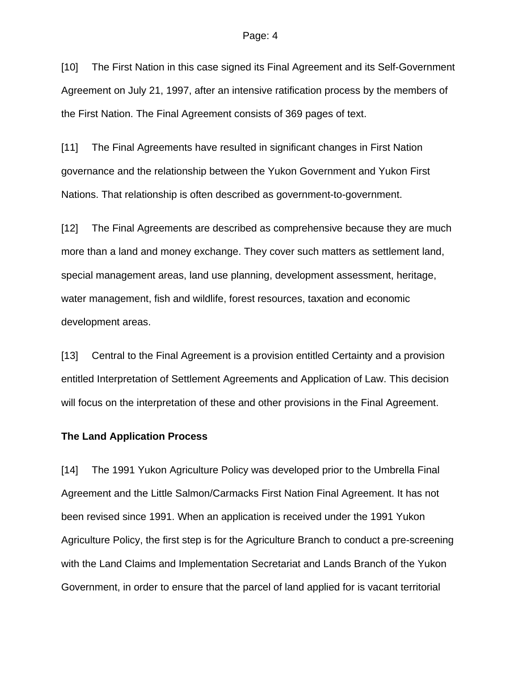[10] The First Nation in this case signed its Final Agreement and its Self-Government Agreement on July 21, 1997, after an intensive ratification process by the members of the First Nation. The Final Agreement consists of 369 pages of text.

[11] The Final Agreements have resulted in significant changes in First Nation governance and the relationship between the Yukon Government and Yukon First Nations. That relationship is often described as government-to-government.

[12] The Final Agreements are described as comprehensive because they are much more than a land and money exchange. They cover such matters as settlement land, special management areas, land use planning, development assessment, heritage, water management, fish and wildlife, forest resources, taxation and economic development areas.

[13] Central to the Final Agreement is a provision entitled Certainty and a provision entitled Interpretation of Settlement Agreements and Application of Law. This decision will focus on the interpretation of these and other provisions in the Final Agreement.

#### **The Land Application Process**

[14] The 1991 Yukon Agriculture Policy was developed prior to the Umbrella Final Agreement and the Little Salmon/Carmacks First Nation Final Agreement. It has not been revised since 1991. When an application is received under the 1991 Yukon Agriculture Policy, the first step is for the Agriculture Branch to conduct a pre-screening with the Land Claims and Implementation Secretariat and Lands Branch of the Yukon Government, in order to ensure that the parcel of land applied for is vacant territorial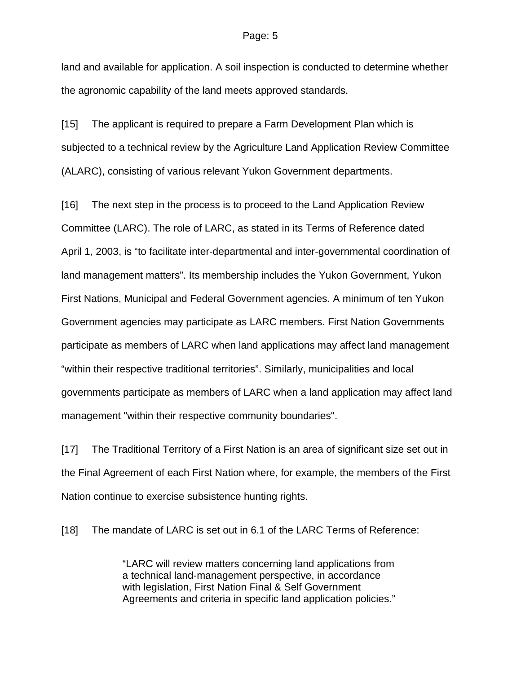land and available for application. A soil inspection is conducted to determine whether the agronomic capability of the land meets approved standards.

[15] The applicant is required to prepare a Farm Development Plan which is subjected to a technical review by the Agriculture Land Application Review Committee (ALARC), consisting of various relevant Yukon Government departments.

[16] The next step in the process is to proceed to the Land Application Review Committee (LARC). The role of LARC, as stated in its Terms of Reference dated April 1, 2003, is "to facilitate inter-departmental and inter-governmental coordination of land management matters". Its membership includes the Yukon Government, Yukon First Nations, Municipal and Federal Government agencies. A minimum of ten Yukon Government agencies may participate as LARC members. First Nation Governments participate as members of LARC when land applications may affect land management "within their respective traditional territories". Similarly, municipalities and local governments participate as members of LARC when a land application may affect land management "within their respective community boundaries".

[17] The Traditional Territory of a First Nation is an area of significant size set out in the Final Agreement of each First Nation where, for example, the members of the First Nation continue to exercise subsistence hunting rights.

[18] The mandate of LARC is set out in 6.1 of the LARC Terms of Reference:

"LARC will review matters concerning land applications from a technical land-management perspective, in accordance with legislation, First Nation Final & Self Government Agreements and criteria in specific land application policies."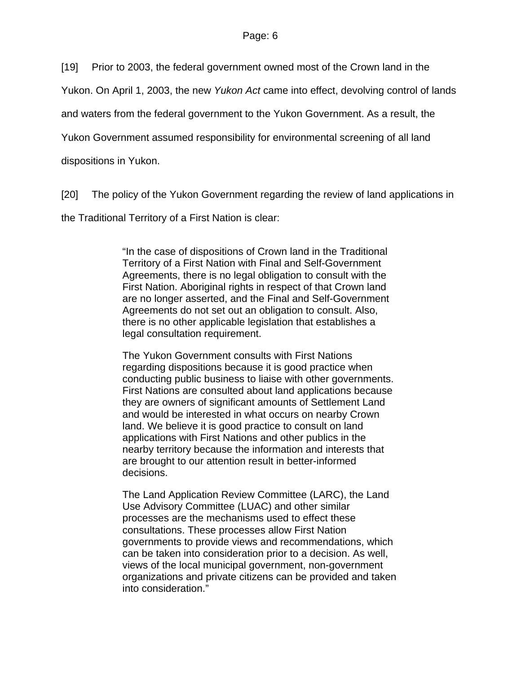[19] Prior to 2003, the federal government owned most of the Crown land in the

Yukon. On April 1, 2003, the new *Yukon Act* came into effect, devolving control of lands

and waters from the federal government to the Yukon Government. As a result, the

Yukon Government assumed responsibility for environmental screening of all land

dispositions in Yukon.

[20] The policy of the Yukon Government regarding the review of land applications in

the Traditional Territory of a First Nation is clear:

"In the case of dispositions of Crown land in the Traditional Territory of a First Nation with Final and Self-Government Agreements, there is no legal obligation to consult with the First Nation. Aboriginal rights in respect of that Crown land are no longer asserted, and the Final and Self-Government Agreements do not set out an obligation to consult. Also, there is no other applicable legislation that establishes a legal consultation requirement.

The Yukon Government consults with First Nations regarding dispositions because it is good practice when conducting public business to liaise with other governments. First Nations are consulted about land applications because they are owners of significant amounts of Settlement Land and would be interested in what occurs on nearby Crown land. We believe it is good practice to consult on land applications with First Nations and other publics in the nearby territory because the information and interests that are brought to our attention result in better-informed decisions.

The Land Application Review Committee (LARC), the Land Use Advisory Committee (LUAC) and other similar processes are the mechanisms used to effect these consultations. These processes allow First Nation governments to provide views and recommendations, which can be taken into consideration prior to a decision. As well, views of the local municipal government, non-government organizations and private citizens can be provided and taken into consideration."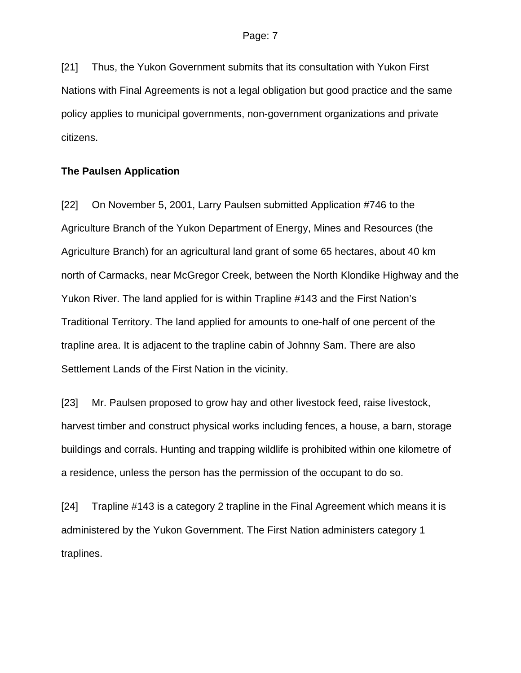[21] Thus, the Yukon Government submits that its consultation with Yukon First Nations with Final Agreements is not a legal obligation but good practice and the same policy applies to municipal governments, non-government organizations and private citizens.

### **The Paulsen Application**

[22] On November 5, 2001, Larry Paulsen submitted Application #746 to the Agriculture Branch of the Yukon Department of Energy, Mines and Resources (the Agriculture Branch) for an agricultural land grant of some 65 hectares, about 40 km north of Carmacks, near McGregor Creek, between the North Klondike Highway and the Yukon River. The land applied for is within Trapline #143 and the First Nation's Traditional Territory. The land applied for amounts to one-half of one percent of the trapline area. It is adjacent to the trapline cabin of Johnny Sam. There are also Settlement Lands of the First Nation in the vicinity.

[23] Mr. Paulsen proposed to grow hay and other livestock feed, raise livestock, harvest timber and construct physical works including fences, a house, a barn, storage buildings and corrals. Hunting and trapping wildlife is prohibited within one kilometre of a residence, unless the person has the permission of the occupant to do so.

[24] Trapline #143 is a category 2 trapline in the Final Agreement which means it is administered by the Yukon Government. The First Nation administers category 1 traplines.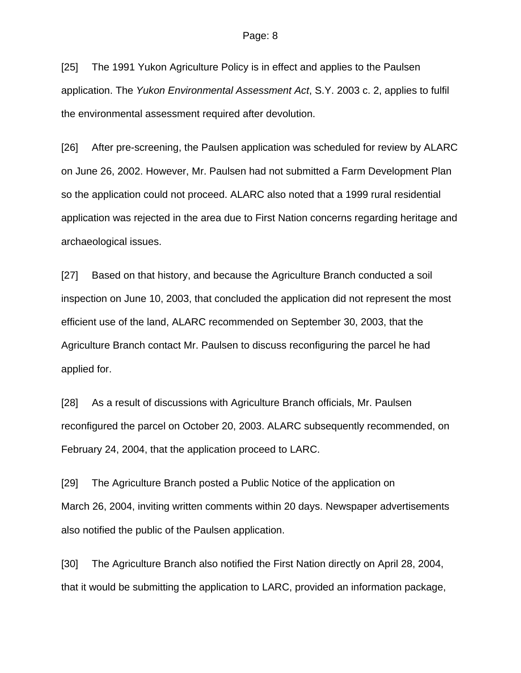[25] The 1991 Yukon Agriculture Policy is in effect and applies to the Paulsen application. The *Yukon Environmental Assessment Act*, S.Y. 2003 c. 2, applies to fulfil the environmental assessment required after devolution.

[26] After pre-screening, the Paulsen application was scheduled for review by ALARC on June 26, 2002. However, Mr. Paulsen had not submitted a Farm Development Plan so the application could not proceed. ALARC also noted that a 1999 rural residential application was rejected in the area due to First Nation concerns regarding heritage and archaeological issues.

[27] Based on that history, and because the Agriculture Branch conducted a soil inspection on June 10, 2003, that concluded the application did not represent the most efficient use of the land, ALARC recommended on September 30, 2003, that the Agriculture Branch contact Mr. Paulsen to discuss reconfiguring the parcel he had applied for.

[28] As a result of discussions with Agriculture Branch officials, Mr. Paulsen reconfigured the parcel on October 20, 2003. ALARC subsequently recommended, on February 24, 2004, that the application proceed to LARC.

[29] The Agriculture Branch posted a Public Notice of the application on March 26, 2004, inviting written comments within 20 days. Newspaper advertisements also notified the public of the Paulsen application.

[30] The Agriculture Branch also notified the First Nation directly on April 28, 2004, that it would be submitting the application to LARC, provided an information package,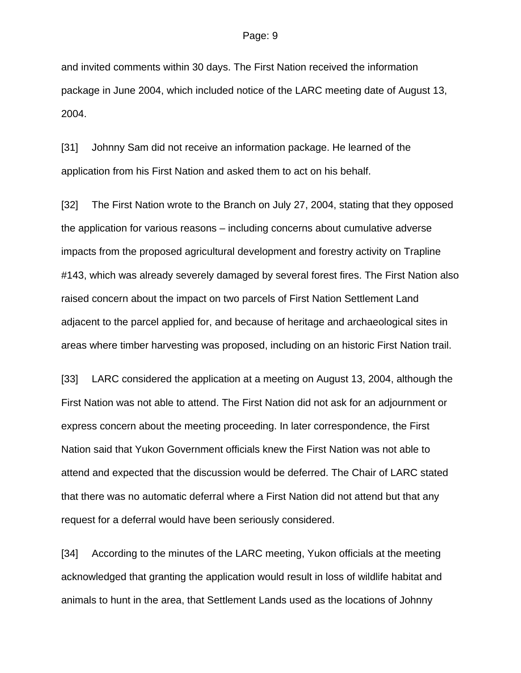and invited comments within 30 days. The First Nation received the information package in June 2004, which included notice of the LARC meeting date of August 13, 2004.

[31] Johnny Sam did not receive an information package. He learned of the application from his First Nation and asked them to act on his behalf.

[32] The First Nation wrote to the Branch on July 27, 2004, stating that they opposed the application for various reasons – including concerns about cumulative adverse impacts from the proposed agricultural development and forestry activity on Trapline #143, which was already severely damaged by several forest fires. The First Nation also raised concern about the impact on two parcels of First Nation Settlement Land adjacent to the parcel applied for, and because of heritage and archaeological sites in areas where timber harvesting was proposed, including on an historic First Nation trail.

[33] LARC considered the application at a meeting on August 13, 2004, although the First Nation was not able to attend. The First Nation did not ask for an adjournment or express concern about the meeting proceeding. In later correspondence, the First Nation said that Yukon Government officials knew the First Nation was not able to attend and expected that the discussion would be deferred. The Chair of LARC stated that there was no automatic deferral where a First Nation did not attend but that any request for a deferral would have been seriously considered.

[34] According to the minutes of the LARC meeting, Yukon officials at the meeting acknowledged that granting the application would result in loss of wildlife habitat and animals to hunt in the area, that Settlement Lands used as the locations of Johnny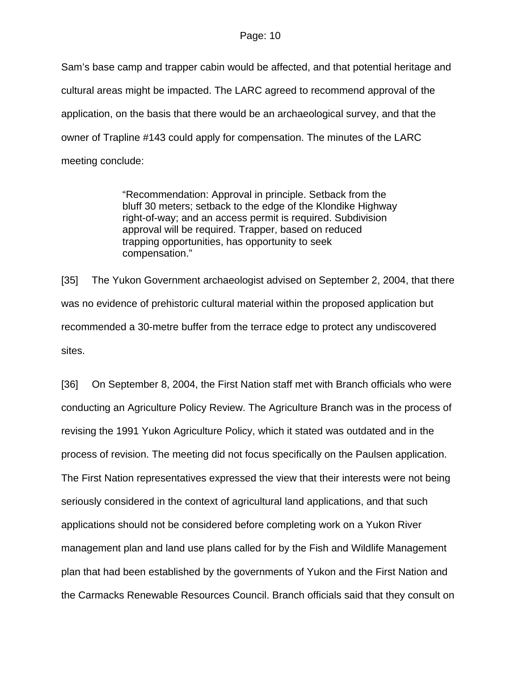Sam's base camp and trapper cabin would be affected, and that potential heritage and cultural areas might be impacted. The LARC agreed to recommend approval of the application, on the basis that there would be an archaeological survey, and that the owner of Trapline #143 could apply for compensation. The minutes of the LARC meeting conclude:

> "Recommendation: Approval in principle. Setback from the bluff 30 meters; setback to the edge of the Klondike Highway right-of-way; and an access permit is required. Subdivision approval will be required. Trapper, based on reduced trapping opportunities, has opportunity to seek compensation."

[35] The Yukon Government archaeologist advised on September 2, 2004, that there was no evidence of prehistoric cultural material within the proposed application but recommended a 30-metre buffer from the terrace edge to protect any undiscovered sites.

[36] On September 8, 2004, the First Nation staff met with Branch officials who were conducting an Agriculture Policy Review. The Agriculture Branch was in the process of revising the 1991 Yukon Agriculture Policy, which it stated was outdated and in the process of revision. The meeting did not focus specifically on the Paulsen application. The First Nation representatives expressed the view that their interests were not being seriously considered in the context of agricultural land applications, and that such applications should not be considered before completing work on a Yukon River management plan and land use plans called for by the Fish and Wildlife Management plan that had been established by the governments of Yukon and the First Nation and the Carmacks Renewable Resources Council. Branch officials said that they consult on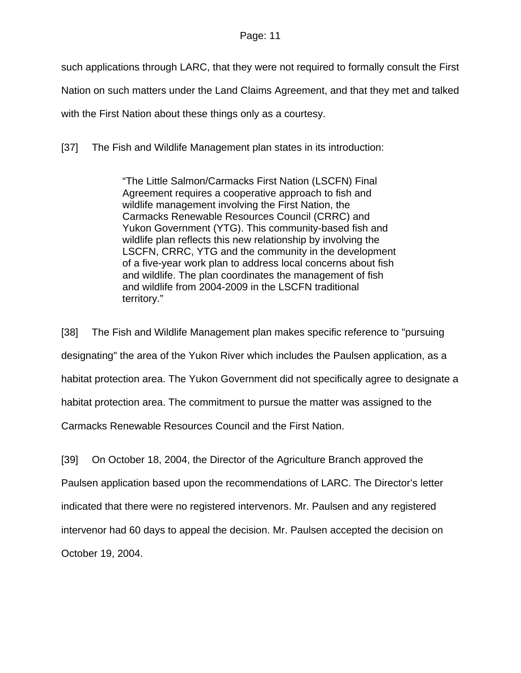such applications through LARC, that they were not required to formally consult the First

Nation on such matters under the Land Claims Agreement, and that they met and talked

with the First Nation about these things only as a courtesy.

[37] The Fish and Wildlife Management plan states in its introduction:

"The Little Salmon/Carmacks First Nation (LSCFN) Final Agreement requires a cooperative approach to fish and wildlife management involving the First Nation, the Carmacks Renewable Resources Council (CRRC) and Yukon Government (YTG). This community-based fish and wildlife plan reflects this new relationship by involving the LSCFN, CRRC, YTG and the community in the development of a five-year work plan to address local concerns about fish and wildlife. The plan coordinates the management of fish and wildlife from 2004-2009 in the LSCFN traditional territory."

[38] The Fish and Wildlife Management plan makes specific reference to "pursuing designating" the area of the Yukon River which includes the Paulsen application, as a habitat protection area. The Yukon Government did not specifically agree to designate a habitat protection area. The commitment to pursue the matter was assigned to the Carmacks Renewable Resources Council and the First Nation.

[39] On October 18, 2004, the Director of the Agriculture Branch approved the Paulsen application based upon the recommendations of LARC. The Director's letter indicated that there were no registered intervenors. Mr. Paulsen and any registered intervenor had 60 days to appeal the decision. Mr. Paulsen accepted the decision on October 19, 2004.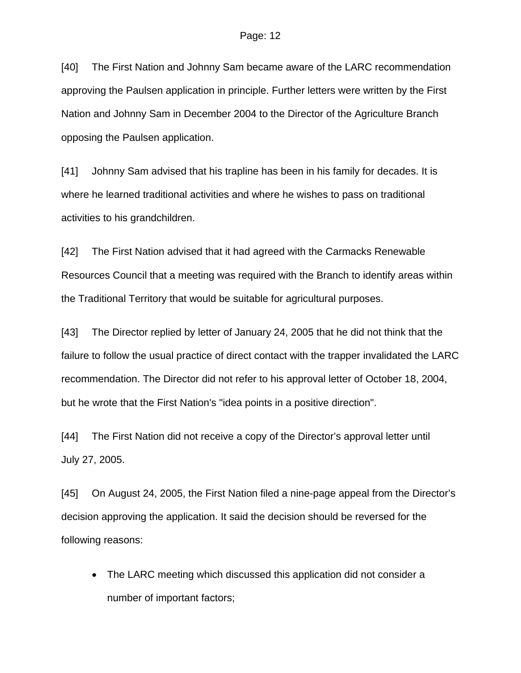[40] The First Nation and Johnny Sam became aware of the LARC recommendation approving the Paulsen application in principle. Further letters were written by the First Nation and Johnny Sam in December 2004 to the Director of the Agriculture Branch opposing the Paulsen application.

[41] Johnny Sam advised that his trapline has been in his family for decades. It is where he learned traditional activities and where he wishes to pass on traditional activities to his grandchildren.

[42] The First Nation advised that it had agreed with the Carmacks Renewable Resources Council that a meeting was required with the Branch to identify areas within the Traditional Territory that would be suitable for agricultural purposes.

[43] The Director replied by letter of January 24, 2005 that he did not think that the failure to follow the usual practice of direct contact with the trapper invalidated the LARC recommendation. The Director did not refer to his approval letter of October 18, 2004, but he wrote that the First Nation's "idea points in a positive direction".

[44] The First Nation did not receive a copy of the Director's approval letter until July 27, 2005.

[45] On August 24, 2005, the First Nation filed a nine-page appeal from the Director's decision approving the application. It said the decision should be reversed for the following reasons:

• The LARC meeting which discussed this application did not consider a number of important factors;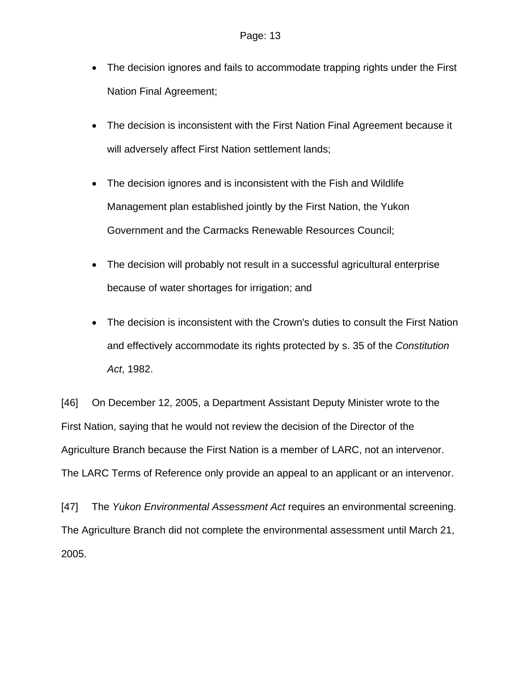- The decision ignores and fails to accommodate trapping rights under the First Nation Final Agreement;
- The decision is inconsistent with the First Nation Final Agreement because it will adversely affect First Nation settlement lands;
- The decision ignores and is inconsistent with the Fish and Wildlife Management plan established jointly by the First Nation, the Yukon Government and the Carmacks Renewable Resources Council;
- The decision will probably not result in a successful agricultural enterprise because of water shortages for irrigation; and
- The decision is inconsistent with the Crown's duties to consult the First Nation and effectively accommodate its rights protected by s. 35 of the *Constitution Act*, 1982.

[46] On December 12, 2005, a Department Assistant Deputy Minister wrote to the First Nation, saying that he would not review the decision of the Director of the Agriculture Branch because the First Nation is a member of LARC, not an intervenor. The LARC Terms of Reference only provide an appeal to an applicant or an intervenor.

[47] The *Yukon Environmental Assessment Act* requires an environmental screening. The Agriculture Branch did not complete the environmental assessment until March 21, 2005.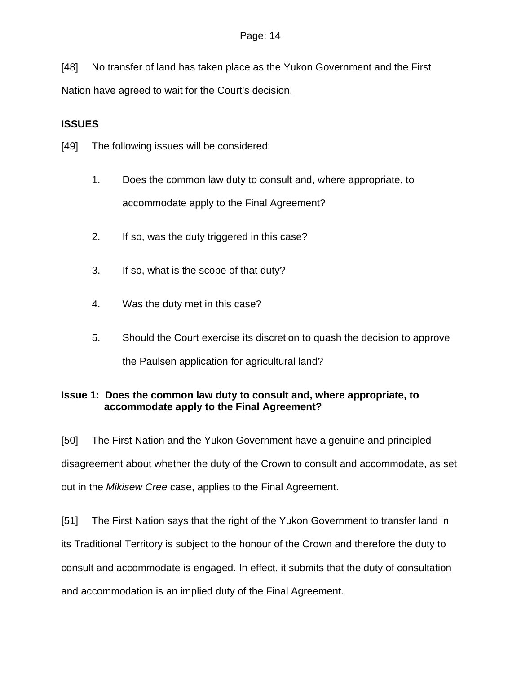[48] No transfer of land has taken place as the Yukon Government and the First Nation have agreed to wait for the Court's decision.

# **ISSUES**

[49] The following issues will be considered:

- 1. Does the common law duty to consult and, where appropriate, to accommodate apply to the Final Agreement?
- 2. If so, was the duty triggered in this case?
- 3. If so, what is the scope of that duty?
- 4. Was the duty met in this case?
- 5. Should the Court exercise its discretion to quash the decision to approve the Paulsen application for agricultural land?

# **Issue 1: Does the common law duty to consult and, where appropriate, to accommodate apply to the Final Agreement?**

[50] The First Nation and the Yukon Government have a genuine and principled disagreement about whether the duty of the Crown to consult and accommodate, as set out in the *Mikisew Cree* case, applies to the Final Agreement.

[51] The First Nation says that the right of the Yukon Government to transfer land in its Traditional Territory is subject to the honour of the Crown and therefore the duty to consult and accommodate is engaged. In effect, it submits that the duty of consultation and accommodation is an implied duty of the Final Agreement.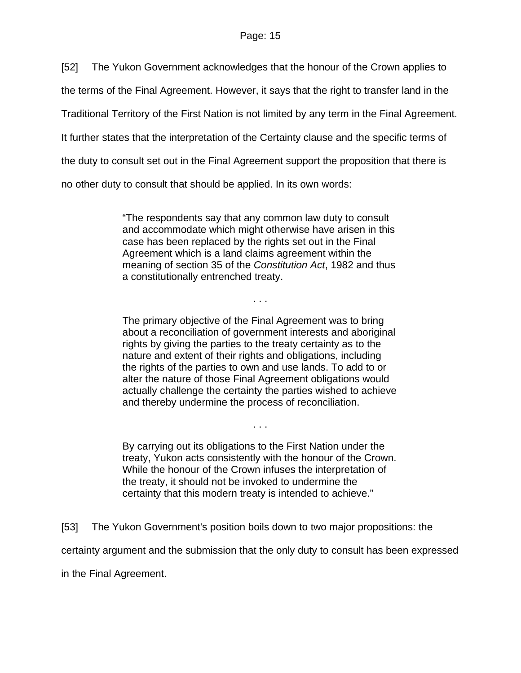[52] The Yukon Government acknowledges that the honour of the Crown applies to

the terms of the Final Agreement. However, it says that the right to transfer land in the

Traditional Territory of the First Nation is not limited by any term in the Final Agreement.

It further states that the interpretation of the Certainty clause and the specific terms of

the duty to consult set out in the Final Agreement support the proposition that there is

no other duty to consult that should be applied. In its own words:

"The respondents say that any common law duty to consult and accommodate which might otherwise have arisen in this case has been replaced by the rights set out in the Final Agreement which is a land claims agreement within the meaning of section 35 of the *Constitution Act*, 1982 and thus a constitutionally entrenched treaty.

. . .

The primary objective of the Final Agreement was to bring about a reconciliation of government interests and aboriginal rights by giving the parties to the treaty certainty as to the nature and extent of their rights and obligations, including the rights of the parties to own and use lands. To add to or alter the nature of those Final Agreement obligations would actually challenge the certainty the parties wished to achieve and thereby undermine the process of reconciliation.

By carrying out its obligations to the First Nation under the treaty, Yukon acts consistently with the honour of the Crown. While the honour of the Crown infuses the interpretation of the treaty, it should not be invoked to undermine the certainty that this modern treaty is intended to achieve."

. . .

[53] The Yukon Government's position boils down to two major propositions: the

certainty argument and the submission that the only duty to consult has been expressed

in the Final Agreement.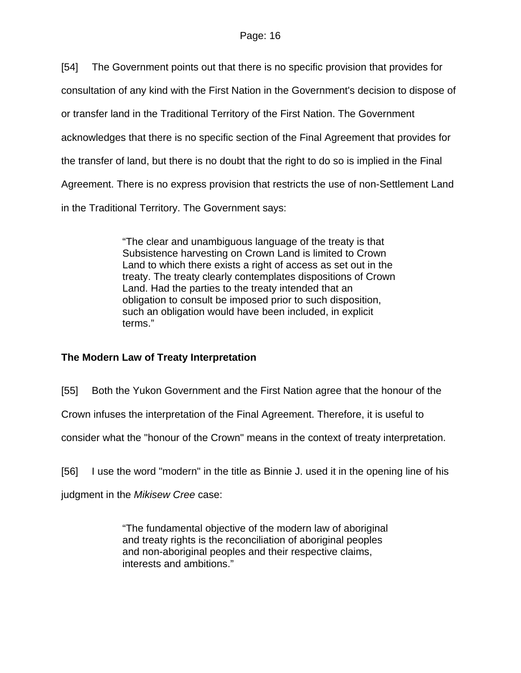[54] The Government points out that there is no specific provision that provides for

consultation of any kind with the First Nation in the Government's decision to dispose of

or transfer land in the Traditional Territory of the First Nation. The Government

acknowledges that there is no specific section of the Final Agreement that provides for

the transfer of land, but there is no doubt that the right to do so is implied in the Final

Agreement. There is no express provision that restricts the use of non-Settlement Land

in the Traditional Territory. The Government says:

"The clear and unambiguous language of the treaty is that Subsistence harvesting on Crown Land is limited to Crown Land to which there exists a right of access as set out in the treaty. The treaty clearly contemplates dispositions of Crown Land. Had the parties to the treaty intended that an obligation to consult be imposed prior to such disposition, such an obligation would have been included, in explicit terms."

# **The Modern Law of Treaty Interpretation**

[55] Both the Yukon Government and the First Nation agree that the honour of the

Crown infuses the interpretation of the Final Agreement. Therefore, it is useful to

consider what the "honour of the Crown" means in the context of treaty interpretation.

[56] I use the word "modern" in the title as Binnie J. used it in the opening line of his

judgment in the *Mikisew Cree* case:

"The fundamental objective of the modern law of aboriginal and treaty rights is the reconciliation of aboriginal peoples and non-aboriginal peoples and their respective claims, interests and ambitions."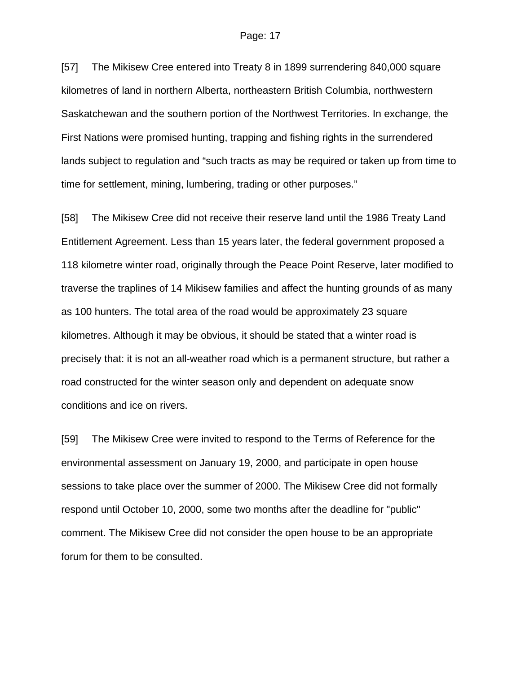[57] The Mikisew Cree entered into Treaty 8 in 1899 surrendering 840,000 square kilometres of land in northern Alberta, northeastern British Columbia, northwestern Saskatchewan and the southern portion of the Northwest Territories. In exchange, the First Nations were promised hunting, trapping and fishing rights in the surrendered lands subject to regulation and "such tracts as may be required or taken up from time to time for settlement, mining, lumbering, trading or other purposes."

[58] The Mikisew Cree did not receive their reserve land until the 1986 Treaty Land Entitlement Agreement. Less than 15 years later, the federal government proposed a 118 kilometre winter road, originally through the Peace Point Reserve, later modified to traverse the traplines of 14 Mikisew families and affect the hunting grounds of as many as 100 hunters. The total area of the road would be approximately 23 square kilometres. Although it may be obvious, it should be stated that a winter road is precisely that: it is not an all-weather road which is a permanent structure, but rather a road constructed for the winter season only and dependent on adequate snow conditions and ice on rivers.

[59] The Mikisew Cree were invited to respond to the Terms of Reference for the environmental assessment on January 19, 2000, and participate in open house sessions to take place over the summer of 2000. The Mikisew Cree did not formally respond until October 10, 2000, some two months after the deadline for "public" comment. The Mikisew Cree did not consider the open house to be an appropriate forum for them to be consulted.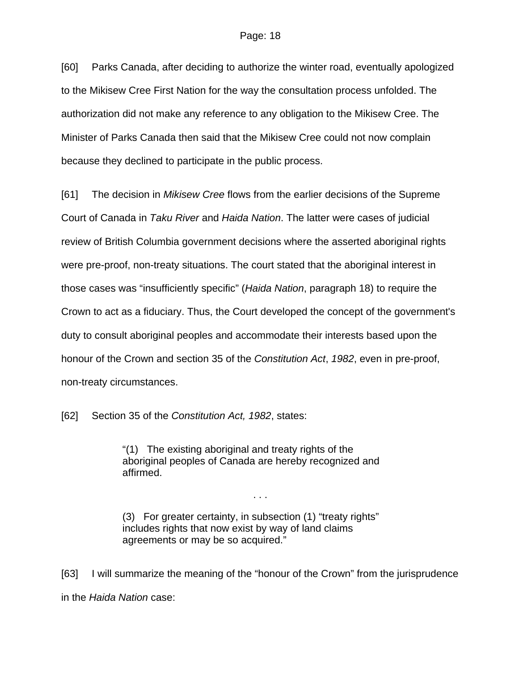[60] Parks Canada, after deciding to authorize the winter road, eventually apologized to the Mikisew Cree First Nation for the way the consultation process unfolded. The authorization did not make any reference to any obligation to the Mikisew Cree. The Minister of Parks Canada then said that the Mikisew Cree could not now complain because they declined to participate in the public process.

[61] The decision in *Mikisew Cree* flows from the earlier decisions of the Supreme Court of Canada in *Taku River* and *Haida Nation*. The latter were cases of judicial review of British Columbia government decisions where the asserted aboriginal rights were pre-proof, non-treaty situations. The court stated that the aboriginal interest in those cases was "insufficiently specific" (*Haida Nation*, paragraph 18) to require the Crown to act as a fiduciary. Thus, the Court developed the concept of the government's duty to consult aboriginal peoples and accommodate their interests based upon the honour of the Crown and section 35 of the *Constitution Act*, *1982*, even in pre-proof, non-treaty circumstances.

[62] Section 35 of the *Constitution Act, 1982*, states:

"(1) The existing aboriginal and treaty rights of the aboriginal peoples of Canada are hereby recognized and affirmed.

. . .

(3) For greater certainty, in subsection (1) "treaty rights" includes rights that now exist by way of land claims agreements or may be so acquired."

[63] I will summarize the meaning of the "honour of the Crown" from the jurisprudence in the *Haida Nation* case: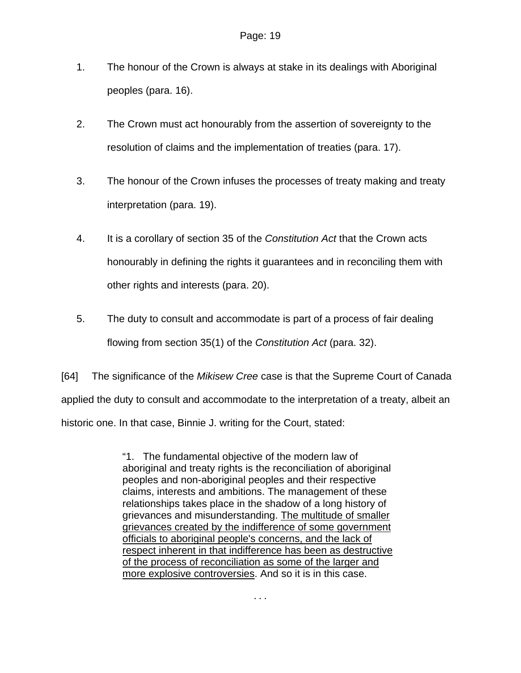- 1. The honour of the Crown is always at stake in its dealings with Aboriginal peoples (para. 16).
- 2. The Crown must act honourably from the assertion of sovereignty to the resolution of claims and the implementation of treaties (para. 17).
- 3. The honour of the Crown infuses the processes of treaty making and treaty interpretation (para. 19).
- 4. It is a corollary of section 35 of the *Constitution Act* that the Crown acts honourably in defining the rights it guarantees and in reconciling them with other rights and interests (para. 20).
- 5. The duty to consult and accommodate is part of a process of fair dealing flowing from section 35(1) of the *Constitution Act* (para. 32).

[64] The significance of the *Mikisew Cree* case is that the Supreme Court of Canada applied the duty to consult and accommodate to the interpretation of a treaty, albeit an historic one. In that case, Binnie J. writing for the Court, stated:

> "1. The fundamental objective of the modern law of aboriginal and treaty rights is the reconciliation of aboriginal peoples and non-aboriginal peoples and their respective claims, interests and ambitions. The management of these relationships takes place in the shadow of a long history of grievances and misunderstanding. The multitude of smaller grievances created by the indifference of some government officials to aboriginal people's concerns, and the lack of respect inherent in that indifference has been as destructive of the process of reconciliation as some of the larger and more explosive controversies. And so it is in this case.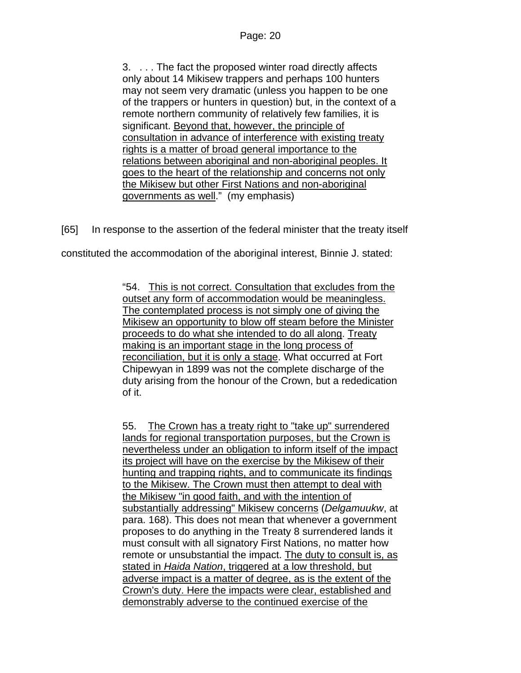3. . . . The fact the proposed winter road directly affects only about 14 Mikisew trappers and perhaps 100 hunters may not seem very dramatic (unless you happen to be one of the trappers or hunters in question) but, in the context of a remote northern community of relatively few families, it is significant. Beyond that, however, the principle of consultation in advance of interference with existing treaty rights is a matter of broad general importance to the relations between aboriginal and non-aboriginal peoples. It goes to the heart of the relationship and concerns not only the Mikisew but other First Nations and non-aboriginal governments as well." (my emphasis)

[65] In response to the assertion of the federal minister that the treaty itself

constituted the accommodation of the aboriginal interest, Binnie J. stated:

"54. This is not correct. Consultation that excludes from the outset any form of accommodation would be meaningless. The contemplated process is not simply one of giving the Mikisew an opportunity to blow off steam before the Minister proceeds to do what she intended to do all along. Treaty making is an important stage in the long process of reconciliation, but it is only a stage. What occurred at Fort Chipewyan in 1899 was not the complete discharge of the duty arising from the honour of the Crown, but a rededication of it.

55. The Crown has a treaty right to "take up" surrendered lands for regional transportation purposes, but the Crown is nevertheless under an obligation to inform itself of the impact its project will have on the exercise by the Mikisew of their hunting and trapping rights, and to communicate its findings to the Mikisew. The Crown must then attempt to deal with the Mikisew "in good faith, and with the intention of substantially addressing" Mikisew concerns (*Delgamuukw*, at para. 168). This does not mean that whenever a government proposes to do anything in the Treaty 8 surrendered lands it must consult with all signatory First Nations, no matter how remote or unsubstantial the impact. The duty to consult is, as stated in *Haida Nation*, triggered at a low threshold, but adverse impact is a matter of degree, as is the extent of the Crown's duty. Here the impacts were clear, established and demonstrably adverse to the continued exercise of the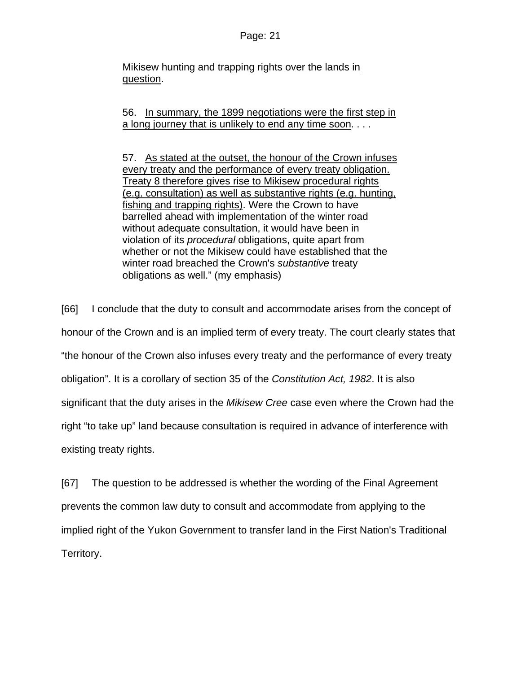Mikisew hunting and trapping rights over the lands in question.

56. In summary, the 1899 negotiations were the first step in a long journey that is unlikely to end any time soon. . . .

57. As stated at the outset, the honour of the Crown infuses every treaty and the performance of every treaty obligation. Treaty 8 therefore gives rise to Mikisew procedural rights (e.g. consultation) as well as substantive rights (e.g. hunting, fishing and trapping rights). Were the Crown to have barrelled ahead with implementation of the winter road without adequate consultation, it would have been in violation of its *procedural* obligations, quite apart from whether or not the Mikisew could have established that the winter road breached the Crown's *substantive* treaty obligations as well." (my emphasis)

[66] I conclude that the duty to consult and accommodate arises from the concept of honour of the Crown and is an implied term of every treaty. The court clearly states that "the honour of the Crown also infuses every treaty and the performance of every treaty obligation". It is a corollary of section 35 of the *Constitution Act, 1982*. It is also significant that the duty arises in the *Mikisew Cree* case even where the Crown had the right "to take up" land because consultation is required in advance of interference with existing treaty rights.

[67] The question to be addressed is whether the wording of the Final Agreement prevents the common law duty to consult and accommodate from applying to the implied right of the Yukon Government to transfer land in the First Nation's Traditional Territory.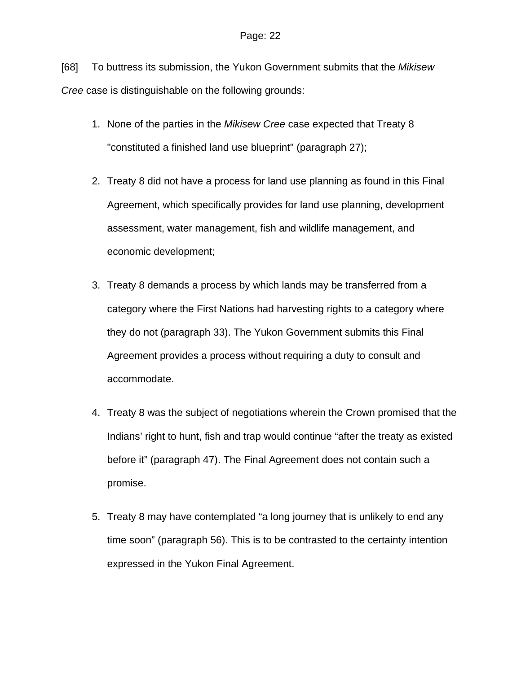[68] To buttress its submission, the Yukon Government submits that the *Mikisew Cree* case is distinguishable on the following grounds:

- 1. None of the parties in the *Mikisew Cree* case expected that Treaty 8 "constituted a finished land use blueprint" (paragraph 27);
- 2. Treaty 8 did not have a process for land use planning as found in this Final Agreement, which specifically provides for land use planning, development assessment, water management, fish and wildlife management, and economic development;
- 3. Treaty 8 demands a process by which lands may be transferred from a category where the First Nations had harvesting rights to a category where they do not (paragraph 33). The Yukon Government submits this Final Agreement provides a process without requiring a duty to consult and accommodate.
- 4. Treaty 8 was the subject of negotiations wherein the Crown promised that the Indians' right to hunt, fish and trap would continue "after the treaty as existed before it" (paragraph 47). The Final Agreement does not contain such a promise.
- 5. Treaty 8 may have contemplated "a long journey that is unlikely to end any time soon" (paragraph 56). This is to be contrasted to the certainty intention expressed in the Yukon Final Agreement.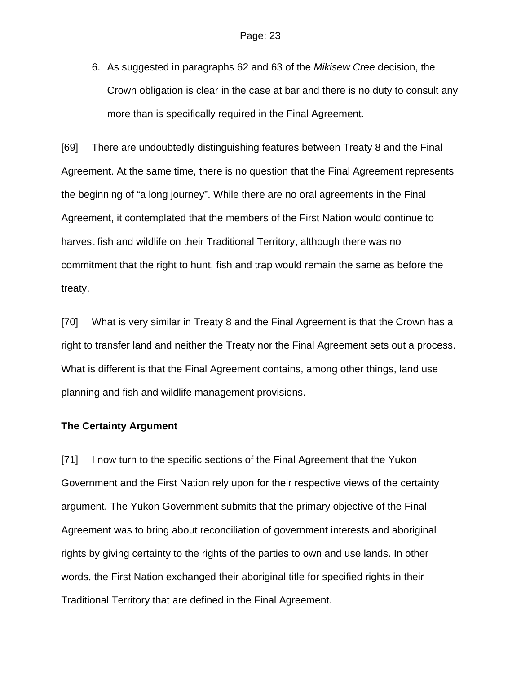6. As suggested in paragraphs 62 and 63 of the *Mikisew Cree* decision, the Crown obligation is clear in the case at bar and there is no duty to consult any more than is specifically required in the Final Agreement.

[69] There are undoubtedly distinguishing features between Treaty 8 and the Final Agreement. At the same time, there is no question that the Final Agreement represents the beginning of "a long journey". While there are no oral agreements in the Final Agreement, it contemplated that the members of the First Nation would continue to harvest fish and wildlife on their Traditional Territory, although there was no commitment that the right to hunt, fish and trap would remain the same as before the treaty.

[70] What is very similar in Treaty 8 and the Final Agreement is that the Crown has a right to transfer land and neither the Treaty nor the Final Agreement sets out a process. What is different is that the Final Agreement contains, among other things, land use planning and fish and wildlife management provisions.

### **The Certainty Argument**

[71] I now turn to the specific sections of the Final Agreement that the Yukon Government and the First Nation rely upon for their respective views of the certainty argument. The Yukon Government submits that the primary objective of the Final Agreement was to bring about reconciliation of government interests and aboriginal rights by giving certainty to the rights of the parties to own and use lands. In other words, the First Nation exchanged their aboriginal title for specified rights in their Traditional Territory that are defined in the Final Agreement.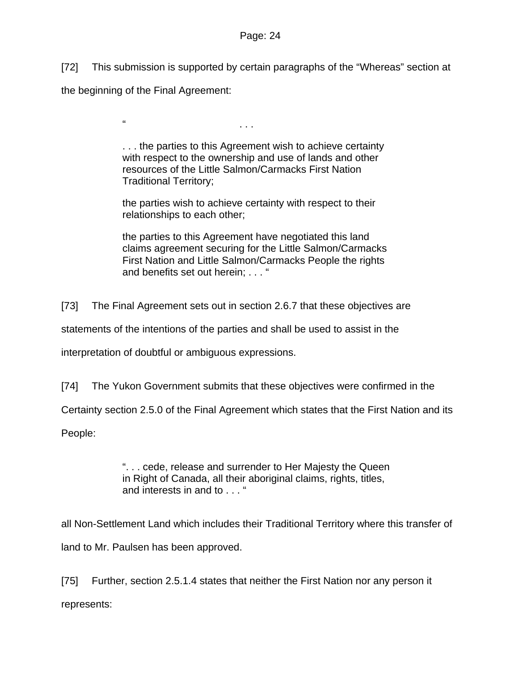[72] This submission is supported by certain paragraphs of the "Whereas" section at

the beginning of the Final Agreement:

" . . .

. . . the parties to this Agreement wish to achieve certainty with respect to the ownership and use of lands and other resources of the Little Salmon/Carmacks First Nation Traditional Territory;

the parties wish to achieve certainty with respect to their relationships to each other;

the parties to this Agreement have negotiated this land claims agreement securing for the Little Salmon/Carmacks First Nation and Little Salmon/Carmacks People the rights and benefits set out herein: . . . "

[73] The Final Agreement sets out in section 2.6.7 that these objectives are

statements of the intentions of the parties and shall be used to assist in the

interpretation of doubtful or ambiguous expressions.

[74] The Yukon Government submits that these objectives were confirmed in the

Certainty section 2.5.0 of the Final Agreement which states that the First Nation and its

People:

". . . cede, release and surrender to Her Majesty the Queen in Right of Canada, all their aboriginal claims, rights, titles, and interests in and to . . . "

all Non-Settlement Land which includes their Traditional Territory where this transfer of land to Mr. Paulsen has been approved.

[75] Further, section 2.5.1.4 states that neither the First Nation nor any person it represents: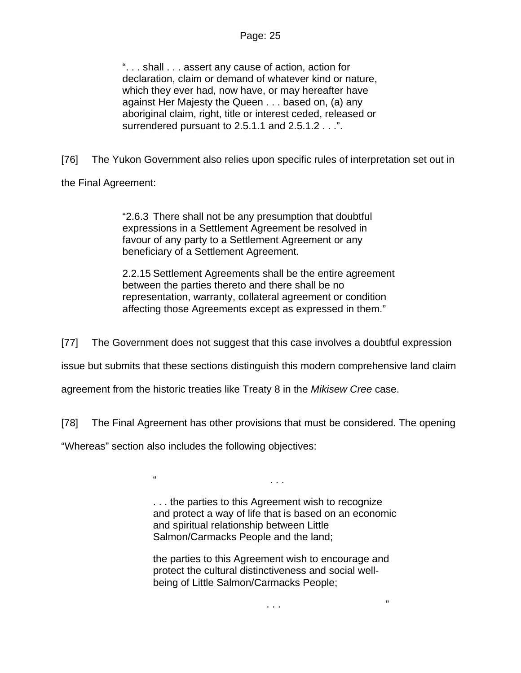". . . shall . . . assert any cause of action, action for declaration, claim or demand of whatever kind or nature, which they ever had, now have, or may hereafter have against Her Majesty the Queen . . . based on, (a) any aboriginal claim, right, title or interest ceded, released or surrendered pursuant to 2.5.1.1 and 2.5.1.2 . . .".

[76] The Yukon Government also relies upon specific rules of interpretation set out in

the Final Agreement:

"2.6.3 There shall not be any presumption that doubtful expressions in a Settlement Agreement be resolved in favour of any party to a Settlement Agreement or any beneficiary of a Settlement Agreement.

2.2.15 Settlement Agreements shall be the entire agreement between the parties thereto and there shall be no representation, warranty, collateral agreement or condition affecting those Agreements except as expressed in them."

[77] The Government does not suggest that this case involves a doubtful expression

issue but submits that these sections distinguish this modern comprehensive land claim

agreement from the historic treaties like Treaty 8 in the *Mikisew Cree* case.

 $\blacksquare$ 

[78] The Final Agreement has other provisions that must be considered. The opening

"Whereas" section also includes the following objectives:

. . . the parties to this Agreement wish to recognize and protect a way of life that is based on an economic and spiritual relationship between Little Salmon/Carmacks People and the land;

the parties to this Agreement wish to encourage and protect the cultural distinctiveness and social wellbeing of Little Salmon/Carmacks People;

. . . "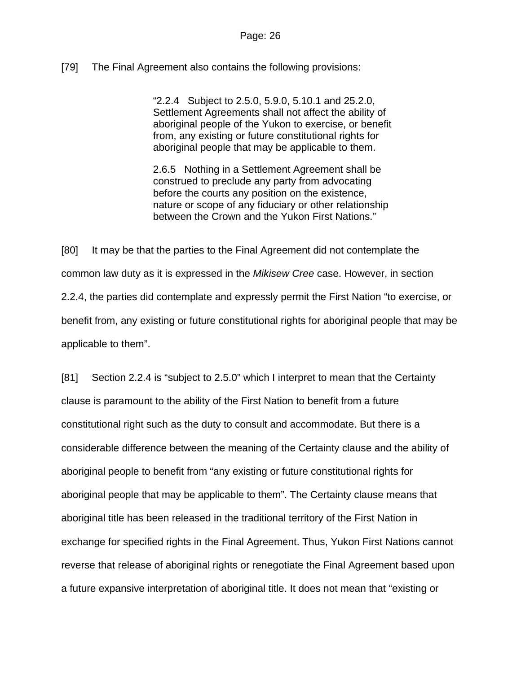# [79] The Final Agreement also contains the following provisions:

"2.2.4 Subject to 2.5.0, 5.9.0, 5.10.1 and 25.2.0, Settlement Agreements shall not affect the ability of aboriginal people of the Yukon to exercise, or benefit from, any existing or future constitutional rights for aboriginal people that may be applicable to them.

2.6.5 Nothing in a Settlement Agreement shall be construed to preclude any party from advocating before the courts any position on the existence, nature or scope of any fiduciary or other relationship between the Crown and the Yukon First Nations."

[80] It may be that the parties to the Final Agreement did not contemplate the common law duty as it is expressed in the *Mikisew Cree* case. However, in section 2.2.4, the parties did contemplate and expressly permit the First Nation "to exercise, or benefit from, any existing or future constitutional rights for aboriginal people that may be applicable to them".

[81] Section 2.2.4 is "subject to 2.5.0" which I interpret to mean that the Certainty clause is paramount to the ability of the First Nation to benefit from a future constitutional right such as the duty to consult and accommodate. But there is a considerable difference between the meaning of the Certainty clause and the ability of aboriginal people to benefit from "any existing or future constitutional rights for aboriginal people that may be applicable to them". The Certainty clause means that aboriginal title has been released in the traditional territory of the First Nation in exchange for specified rights in the Final Agreement. Thus, Yukon First Nations cannot reverse that release of aboriginal rights or renegotiate the Final Agreement based upon a future expansive interpretation of aboriginal title. It does not mean that "existing or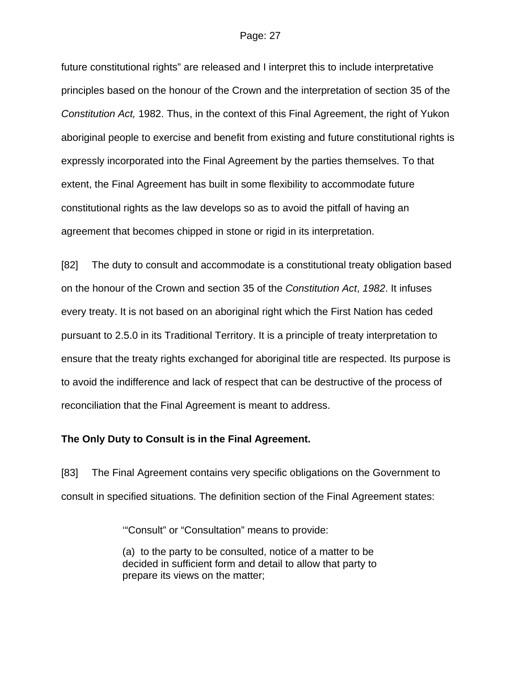future constitutional rights" are released and I interpret this to include interpretative principles based on the honour of the Crown and the interpretation of section 35 of the *Constitution Act,* 1982. Thus, in the context of this Final Agreement, the right of Yukon aboriginal people to exercise and benefit from existing and future constitutional rights is expressly incorporated into the Final Agreement by the parties themselves. To that extent, the Final Agreement has built in some flexibility to accommodate future constitutional rights as the law develops so as to avoid the pitfall of having an agreement that becomes chipped in stone or rigid in its interpretation.

[82] The duty to consult and accommodate is a constitutional treaty obligation based on the honour of the Crown and section 35 of the *Constitution Act*, *1982*. It infuses every treaty. It is not based on an aboriginal right which the First Nation has ceded pursuant to 2.5.0 in its Traditional Territory. It is a principle of treaty interpretation to ensure that the treaty rights exchanged for aboriginal title are respected. Its purpose is to avoid the indifference and lack of respect that can be destructive of the process of reconciliation that the Final Agreement is meant to address.

### **The Only Duty to Consult is in the Final Agreement.**

[83] The Final Agreement contains very specific obligations on the Government to consult in specified situations. The definition section of the Final Agreement states:

'"Consult" or "Consultation" means to provide:

(a) to the party to be consulted, notice of a matter to be decided in sufficient form and detail to allow that party to prepare its views on the matter;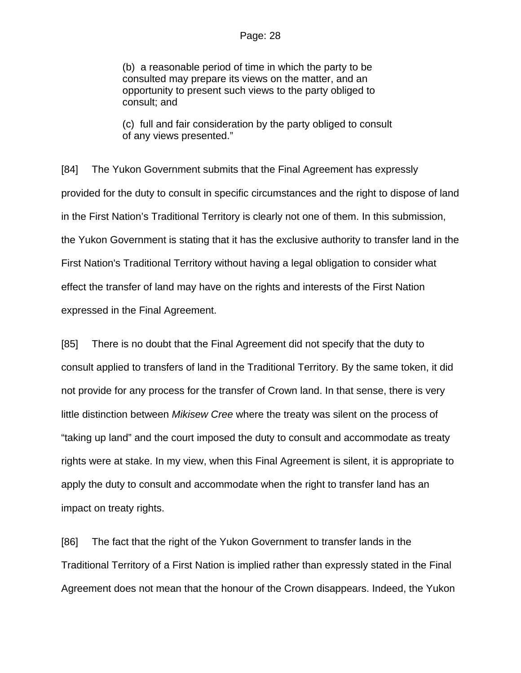(b) a reasonable period of time in which the party to be consulted may prepare its views on the matter, and an opportunity to present such views to the party obliged to consult; and

(c) full and fair consideration by the party obliged to consult of any views presented."

[84] The Yukon Government submits that the Final Agreement has expressly provided for the duty to consult in specific circumstances and the right to dispose of land in the First Nation's Traditional Territory is clearly not one of them. In this submission, the Yukon Government is stating that it has the exclusive authority to transfer land in the First Nation's Traditional Territory without having a legal obligation to consider what effect the transfer of land may have on the rights and interests of the First Nation expressed in the Final Agreement.

[85] There is no doubt that the Final Agreement did not specify that the duty to consult applied to transfers of land in the Traditional Territory. By the same token, it did not provide for any process for the transfer of Crown land. In that sense, there is very little distinction between *Mikisew Cree* where the treaty was silent on the process of "taking up land" and the court imposed the duty to consult and accommodate as treaty rights were at stake. In my view, when this Final Agreement is silent, it is appropriate to apply the duty to consult and accommodate when the right to transfer land has an impact on treaty rights.

[86] The fact that the right of the Yukon Government to transfer lands in the Traditional Territory of a First Nation is implied rather than expressly stated in the Final Agreement does not mean that the honour of the Crown disappears. Indeed, the Yukon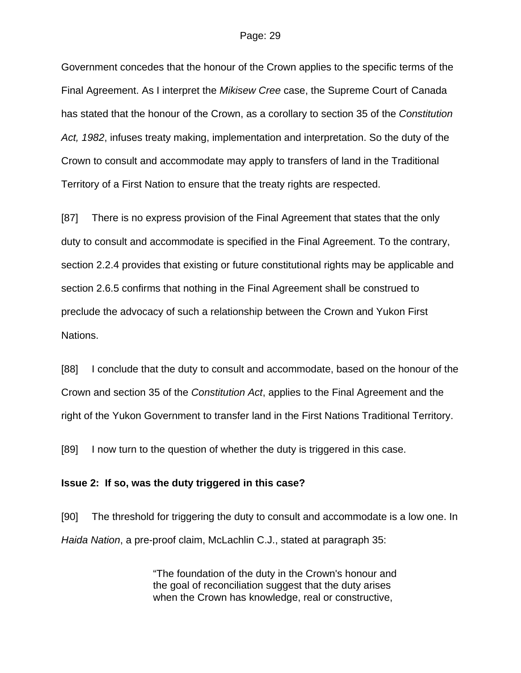Government concedes that the honour of the Crown applies to the specific terms of the Final Agreement. As I interpret the *Mikisew Cree* case, the Supreme Court of Canada has stated that the honour of the Crown, as a corollary to section 35 of the *Constitution Act, 1982*, infuses treaty making, implementation and interpretation. So the duty of the Crown to consult and accommodate may apply to transfers of land in the Traditional Territory of a First Nation to ensure that the treaty rights are respected.

[87] There is no express provision of the Final Agreement that states that the only duty to consult and accommodate is specified in the Final Agreement. To the contrary, section 2.2.4 provides that existing or future constitutional rights may be applicable and section 2.6.5 confirms that nothing in the Final Agreement shall be construed to preclude the advocacy of such a relationship between the Crown and Yukon First Nations.

[88] I conclude that the duty to consult and accommodate, based on the honour of the Crown and section 35 of the *Constitution Act*, applies to the Final Agreement and the right of the Yukon Government to transfer land in the First Nations Traditional Territory.

[89] I now turn to the question of whether the duty is triggered in this case.

### **Issue 2: If so, was the duty triggered in this case?**

[90] The threshold for triggering the duty to consult and accommodate is a low one. In *Haida Nation*, a pre-proof claim, McLachlin C.J., stated at paragraph 35:

> "The foundation of the duty in the Crown's honour and the goal of reconciliation suggest that the duty arises when the Crown has knowledge, real or constructive,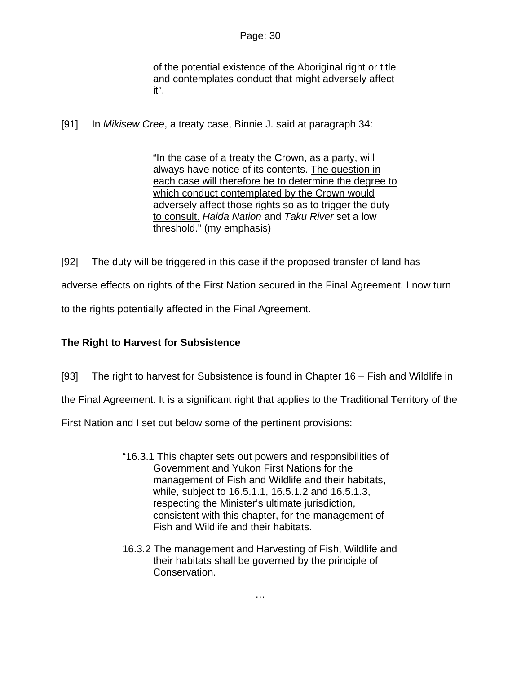of the potential existence of the Aboriginal right or title and contemplates conduct that might adversely affect it".

[91] In *Mikisew Cree*, a treaty case, Binnie J. said at paragraph 34:

"In the case of a treaty the Crown, as a party, will always have notice of its contents. The question in each case will therefore be to determine the degree to which conduct contemplated by the Crown would adversely affect those rights so as to trigger the duty to consult. *Haida Nation* and *Taku River* set a low threshold." (my emphasis)

[92] The duty will be triggered in this case if the proposed transfer of land has adverse effects on rights of the First Nation secured in the Final Agreement. I now turn to the rights potentially affected in the Final Agreement.

# **The Right to Harvest for Subsistence**

[93] The right to harvest for Subsistence is found in Chapter 16 – Fish and Wildlife in

the Final Agreement. It is a significant right that applies to the Traditional Territory of the

First Nation and I set out below some of the pertinent provisions:

- "16.3.1 This chapter sets out powers and responsibilities of Government and Yukon First Nations for the management of Fish and Wildlife and their habitats, while, subject to 16.5.1.1, 16.5.1.2 and 16.5.1.3, respecting the Minister's ultimate jurisdiction, consistent with this chapter, for the management of Fish and Wildlife and their habitats.
- 16.3.2 The management and Harvesting of Fish, Wildlife and their habitats shall be governed by the principle of Conservation.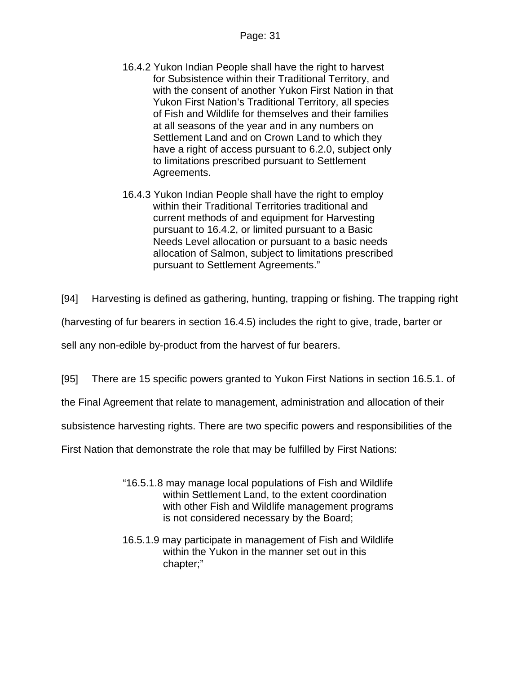- 16.4.2 Yukon Indian People shall have the right to harvest for Subsistence within their Traditional Territory, and with the consent of another Yukon First Nation in that Yukon First Nation's Traditional Territory, all species of Fish and Wildlife for themselves and their families at all seasons of the year and in any numbers on Settlement Land and on Crown Land to which they have a right of access pursuant to 6.2.0, subject only to limitations prescribed pursuant to Settlement Agreements.
- 16.4.3 Yukon Indian People shall have the right to employ within their Traditional Territories traditional and current methods of and equipment for Harvesting pursuant to 16.4.2, or limited pursuant to a Basic Needs Level allocation or pursuant to a basic needs allocation of Salmon, subject to limitations prescribed pursuant to Settlement Agreements."

[94] Harvesting is defined as gathering, hunting, trapping or fishing. The trapping right

(harvesting of fur bearers in section 16.4.5) includes the right to give, trade, barter or

sell any non-edible by-product from the harvest of fur bearers.

[95] There are 15 specific powers granted to Yukon First Nations in section 16.5.1. of

the Final Agreement that relate to management, administration and allocation of their

subsistence harvesting rights. There are two specific powers and responsibilities of the

First Nation that demonstrate the role that may be fulfilled by First Nations:

- "16.5.1.8 may manage local populations of Fish and Wildlife within Settlement Land, to the extent coordination with other Fish and Wildlife management programs is not considered necessary by the Board;
- 16.5.1.9 may participate in management of Fish and Wildlife within the Yukon in the manner set out in this chapter;"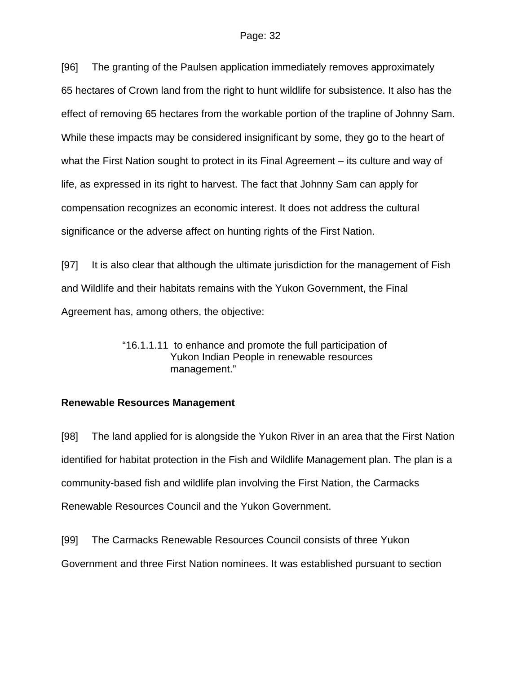[96] The granting of the Paulsen application immediately removes approximately 65 hectares of Crown land from the right to hunt wildlife for subsistence. It also has the effect of removing 65 hectares from the workable portion of the trapline of Johnny Sam. While these impacts may be considered insignificant by some, they go to the heart of what the First Nation sought to protect in its Final Agreement – its culture and way of life, as expressed in its right to harvest. The fact that Johnny Sam can apply for compensation recognizes an economic interest. It does not address the cultural significance or the adverse affect on hunting rights of the First Nation.

[97] It is also clear that although the ultimate jurisdiction for the management of Fish and Wildlife and their habitats remains with the Yukon Government, the Final Agreement has, among others, the objective:

> "16.1.1.11 to enhance and promote the full participation of Yukon Indian People in renewable resources management."

# **Renewable Resources Management**

[98] The land applied for is alongside the Yukon River in an area that the First Nation identified for habitat protection in the Fish and Wildlife Management plan. The plan is a community-based fish and wildlife plan involving the First Nation, the Carmacks Renewable Resources Council and the Yukon Government.

[99] The Carmacks Renewable Resources Council consists of three Yukon

Government and three First Nation nominees. It was established pursuant to section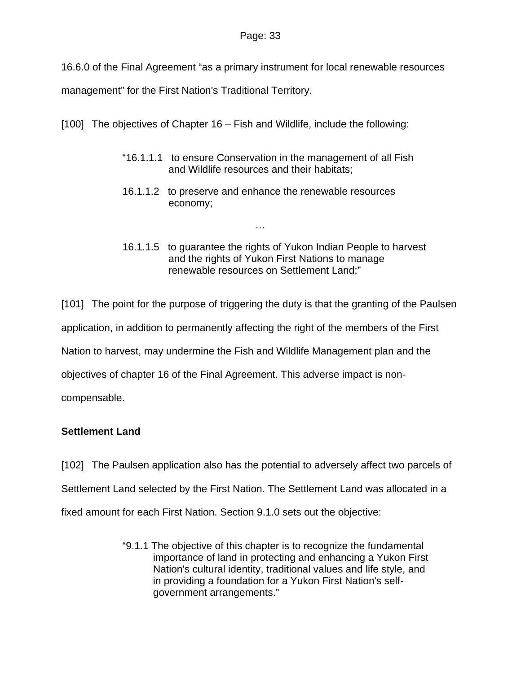16.6.0 of the Final Agreement "as a primary instrument for local renewable resources

management" for the First Nation's Traditional Territory.

[100] The objectives of Chapter 16 – Fish and Wildlife, include the following:

- "16.1.1.1 to ensure Conservation in the management of all Fish and Wildlife resources and their habitats;
- 16.1.1.2 to preserve and enhance the renewable resources economy;

…

16.1.1.5 to guarantee the rights of Yukon Indian People to harvest and the rights of Yukon First Nations to manage renewable resources on Settlement Land;"

[101] The point for the purpose of triggering the duty is that the granting of the Paulsen application, in addition to permanently affecting the right of the members of the First Nation to harvest, may undermine the Fish and Wildlife Management plan and the objectives of chapter 16 of the Final Agreement. This adverse impact is noncompensable.

# **Settlement Land**

[102] The Paulsen application also has the potential to adversely affect two parcels of Settlement Land selected by the First Nation. The Settlement Land was allocated in a fixed amount for each First Nation. Section 9.1.0 sets out the objective:

> "9.1.1 The objective of this chapter is to recognize the fundamental importance of land in protecting and enhancing a Yukon First Nation's cultural identity, traditional values and life style, and in providing a foundation for a Yukon First Nation's selfgovernment arrangements."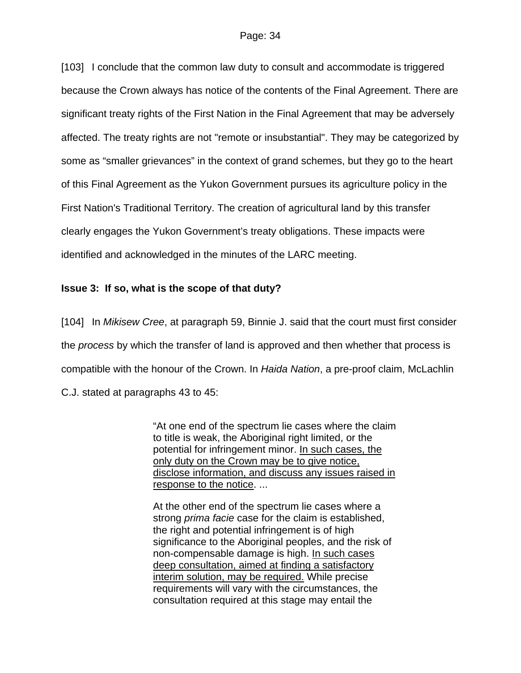[103] I conclude that the common law duty to consult and accommodate is triggered because the Crown always has notice of the contents of the Final Agreement. There are significant treaty rights of the First Nation in the Final Agreement that may be adversely affected. The treaty rights are not "remote or insubstantial". They may be categorized by some as "smaller grievances" in the context of grand schemes, but they go to the heart of this Final Agreement as the Yukon Government pursues its agriculture policy in the First Nation's Traditional Territory. The creation of agricultural land by this transfer clearly engages the Yukon Government's treaty obligations. These impacts were identified and acknowledged in the minutes of the LARC meeting.

# **Issue 3: If so, what is the scope of that duty?**

[104] In *Mikisew Cree*, at paragraph 59, Binnie J. said that the court must first consider the *process* by which the transfer of land is approved and then whether that process is compatible with the honour of the Crown. In *Haida Nation*, a pre-proof claim, McLachlin C.J. stated at paragraphs 43 to 45:

> "At one end of the spectrum lie cases where the claim to title is weak, the Aboriginal right limited, or the potential for infringement minor. In such cases, the only duty on the Crown may be to give notice, disclose information, and discuss any issues raised in response to the notice. ...

At the other end of the spectrum lie cases where a strong *prima facie* case for the claim is established, the right and potential infringement is of high significance to the Aboriginal peoples, and the risk of non-compensable damage is high. In such cases deep consultation, aimed at finding a satisfactory interim solution, may be required. While precise requirements will vary with the circumstances, the consultation required at this stage may entail the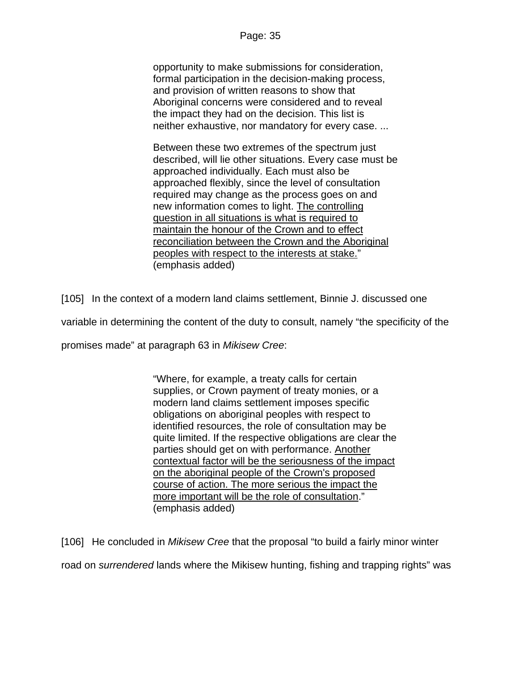opportunity to make submissions for consideration, formal participation in the decision-making process, and provision of written reasons to show that Aboriginal concerns were considered and to reveal the impact they had on the decision. This list is neither exhaustive, nor mandatory for every case. ...

Between these two extremes of the spectrum just described, will lie other situations. Every case must be approached individually. Each must also be approached flexibly, since the level of consultation required may change as the process goes on and new information comes to light. The controlling question in all situations is what is required to maintain the honour of the Crown and to effect reconciliation between the Crown and the Aboriginal peoples with respect to the interests at stake." (emphasis added)

[105] In the context of a modern land claims settlement, Binnie J. discussed one

variable in determining the content of the duty to consult, namely "the specificity of the

promises made" at paragraph 63 in *Mikisew Cree*:

"Where, for example, a treaty calls for certain supplies, or Crown payment of treaty monies, or a modern land claims settlement imposes specific obligations on aboriginal peoples with respect to identified resources, the role of consultation may be quite limited. If the respective obligations are clear the parties should get on with performance. Another contextual factor will be the seriousness of the impact on the aboriginal people of the Crown's proposed course of action. The more serious the impact the more important will be the role of consultation." (emphasis added)

[106] He concluded in *Mikisew Cree* that the proposal "to build a fairly minor winter

road on *surrendered* lands where the Mikisew hunting, fishing and trapping rights" was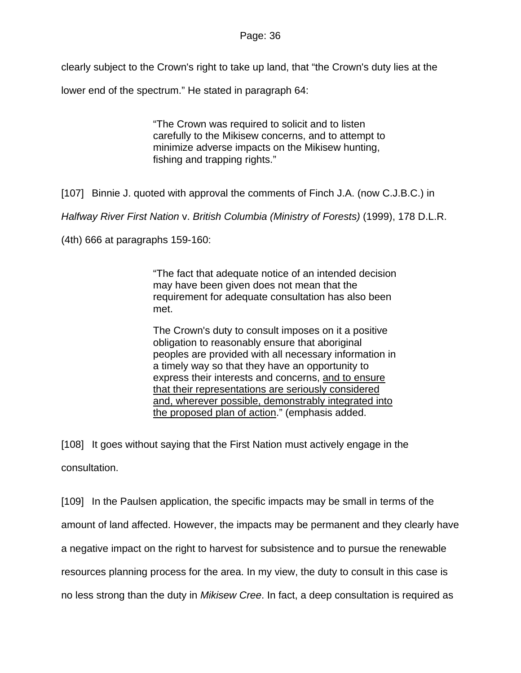clearly subject to the Crown's right to take up land, that "the Crown's duty lies at the

lower end of the spectrum." He stated in paragraph 64:

"The Crown was required to solicit and to listen carefully to the Mikisew concerns, and to attempt to minimize adverse impacts on the Mikisew hunting, fishing and trapping rights."

[107] Binnie J. quoted with approval the comments of Finch J.A. (now C.J.B.C.) in

*Halfway River First Nation* v. *British Columbia (Ministry of Forests)* (1999), 178 D.L.R.

(4th) 666 at paragraphs 159-160:

"The fact that adequate notice of an intended decision may have been given does not mean that the requirement for adequate consultation has also been met.

The Crown's duty to consult imposes on it a positive obligation to reasonably ensure that aboriginal peoples are provided with all necessary information in a timely way so that they have an opportunity to express their interests and concerns, and to ensure that their representations are seriously considered and, wherever possible, demonstrably integrated into the proposed plan of action." (emphasis added.

[108] It goes without saying that the First Nation must actively engage in the consultation.

[109] In the Paulsen application, the specific impacts may be small in terms of the amount of land affected. However, the impacts may be permanent and they clearly have a negative impact on the right to harvest for subsistence and to pursue the renewable resources planning process for the area. In my view, the duty to consult in this case is no less strong than the duty in *Mikisew Cree*. In fact, a deep consultation is required as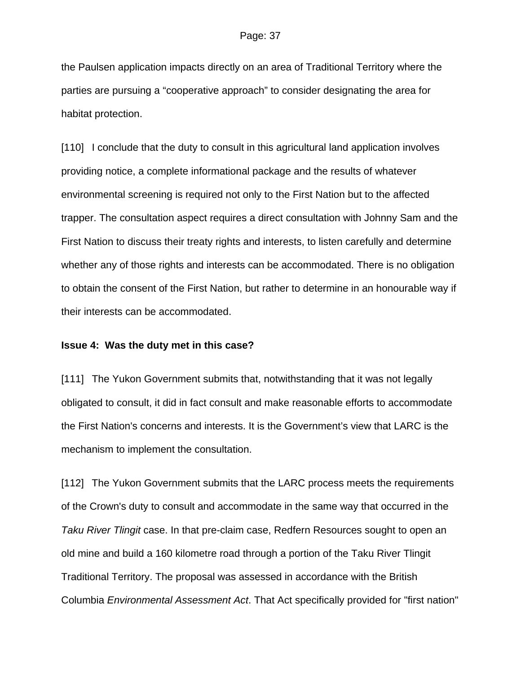the Paulsen application impacts directly on an area of Traditional Territory where the parties are pursuing a "cooperative approach" to consider designating the area for habitat protection.

[110] I conclude that the duty to consult in this agricultural land application involves providing notice, a complete informational package and the results of whatever environmental screening is required not only to the First Nation but to the affected trapper. The consultation aspect requires a direct consultation with Johnny Sam and the First Nation to discuss their treaty rights and interests, to listen carefully and determine whether any of those rights and interests can be accommodated. There is no obligation to obtain the consent of the First Nation, but rather to determine in an honourable way if their interests can be accommodated.

### **Issue 4: Was the duty met in this case?**

[111] The Yukon Government submits that, notwithstanding that it was not legally obligated to consult, it did in fact consult and make reasonable efforts to accommodate the First Nation's concerns and interests. It is the Government's view that LARC is the mechanism to implement the consultation.

[112] The Yukon Government submits that the LARC process meets the requirements of the Crown's duty to consult and accommodate in the same way that occurred in the *Taku River Tlingit* case. In that pre-claim case, Redfern Resources sought to open an old mine and build a 160 kilometre road through a portion of the Taku River Tlingit Traditional Territory. The proposal was assessed in accordance with the British Columbia *Environmental Assessment Act*. That Act specifically provided for "first nation"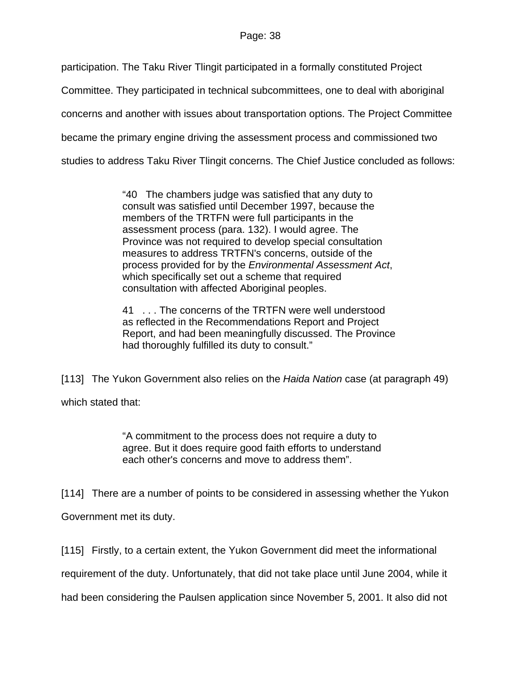participation. The Taku River Tlingit participated in a formally constituted Project

Committee. They participated in technical subcommittees, one to deal with aboriginal

concerns and another with issues about transportation options. The Project Committee

became the primary engine driving the assessment process and commissioned two

studies to address Taku River Tlingit concerns. The Chief Justice concluded as follows:

"40 The chambers judge was satisfied that any duty to consult was satisfied until December 1997, because the members of the TRTFN were full participants in the assessment process (para. 132). I would agree. The Province was not required to develop special consultation measures to address TRTFN's concerns, outside of the process provided for by the *Environmental Assessment Act*, which specifically set out a scheme that required consultation with affected Aboriginal peoples.

41 . . . The concerns of the TRTFN were well understood as reflected in the Recommendations Report and Project Report, and had been meaningfully discussed. The Province had thoroughly fulfilled its duty to consult."

[113] The Yukon Government also relies on the *Haida Nation* case (at paragraph 49) which stated that:

> "A commitment to the process does not require a duty to agree. But it does require good faith efforts to understand each other's concerns and move to address them".

[114] There are a number of points to be considered in assessing whether the Yukon

Government met its duty.

[115] Firstly, to a certain extent, the Yukon Government did meet the informational

requirement of the duty. Unfortunately, that did not take place until June 2004, while it

had been considering the Paulsen application since November 5, 2001. It also did not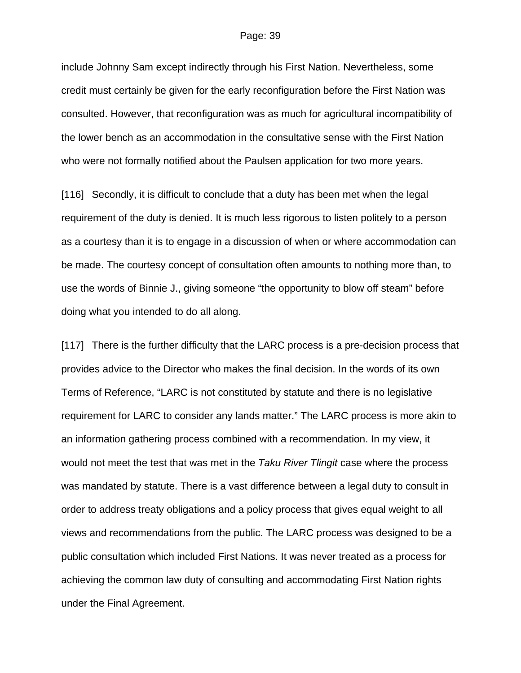include Johnny Sam except indirectly through his First Nation. Nevertheless, some credit must certainly be given for the early reconfiguration before the First Nation was consulted. However, that reconfiguration was as much for agricultural incompatibility of the lower bench as an accommodation in the consultative sense with the First Nation who were not formally notified about the Paulsen application for two more years.

[116] Secondly, it is difficult to conclude that a duty has been met when the legal requirement of the duty is denied. It is much less rigorous to listen politely to a person as a courtesy than it is to engage in a discussion of when or where accommodation can be made. The courtesy concept of consultation often amounts to nothing more than, to use the words of Binnie J., giving someone "the opportunity to blow off steam" before doing what you intended to do all along.

[117] There is the further difficulty that the LARC process is a pre-decision process that provides advice to the Director who makes the final decision. In the words of its own Terms of Reference, "LARC is not constituted by statute and there is no legislative requirement for LARC to consider any lands matter." The LARC process is more akin to an information gathering process combined with a recommendation. In my view, it would not meet the test that was met in the *Taku River Tlingit* case where the process was mandated by statute. There is a vast difference between a legal duty to consult in order to address treaty obligations and a policy process that gives equal weight to all views and recommendations from the public. The LARC process was designed to be a public consultation which included First Nations. It was never treated as a process for achieving the common law duty of consulting and accommodating First Nation rights under the Final Agreement.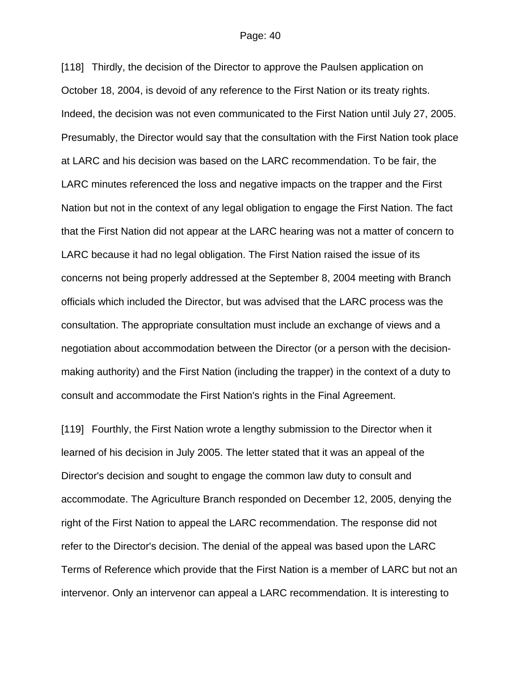[118] Thirdly, the decision of the Director to approve the Paulsen application on October 18, 2004, is devoid of any reference to the First Nation or its treaty rights. Indeed, the decision was not even communicated to the First Nation until July 27, 2005. Presumably, the Director would say that the consultation with the First Nation took place at LARC and his decision was based on the LARC recommendation. To be fair, the LARC minutes referenced the loss and negative impacts on the trapper and the First Nation but not in the context of any legal obligation to engage the First Nation. The fact that the First Nation did not appear at the LARC hearing was not a matter of concern to LARC because it had no legal obligation. The First Nation raised the issue of its concerns not being properly addressed at the September 8, 2004 meeting with Branch officials which included the Director, but was advised that the LARC process was the consultation. The appropriate consultation must include an exchange of views and a negotiation about accommodation between the Director (or a person with the decisionmaking authority) and the First Nation (including the trapper) in the context of a duty to consult and accommodate the First Nation's rights in the Final Agreement.

[119] Fourthly, the First Nation wrote a lengthy submission to the Director when it learned of his decision in July 2005. The letter stated that it was an appeal of the Director's decision and sought to engage the common law duty to consult and accommodate. The Agriculture Branch responded on December 12, 2005, denying the right of the First Nation to appeal the LARC recommendation. The response did not refer to the Director's decision. The denial of the appeal was based upon the LARC Terms of Reference which provide that the First Nation is a member of LARC but not an intervenor. Only an intervenor can appeal a LARC recommendation. It is interesting to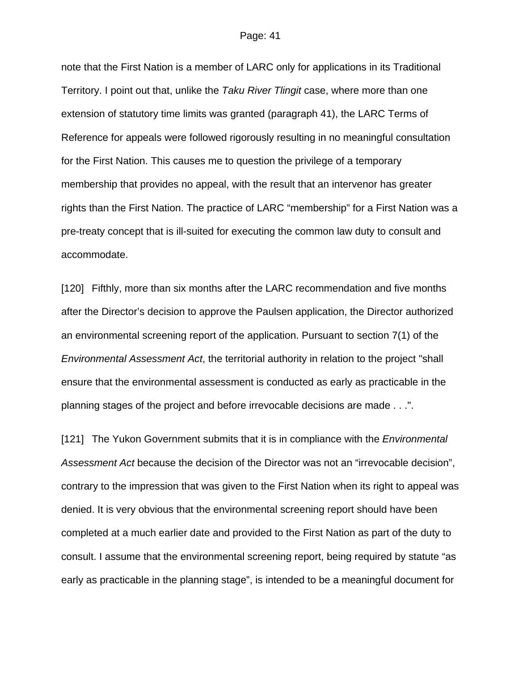note that the First Nation is a member of LARC only for applications in its Traditional Territory. I point out that, unlike the *Taku River Tlingit* case, where more than one extension of statutory time limits was granted (paragraph 41), the LARC Terms of Reference for appeals were followed rigorously resulting in no meaningful consultation for the First Nation. This causes me to question the privilege of a temporary membership that provides no appeal, with the result that an intervenor has greater rights than the First Nation. The practice of LARC "membership" for a First Nation was a pre-treaty concept that is ill-suited for executing the common law duty to consult and accommodate.

[120] Fifthly, more than six months after the LARC recommendation and five months after the Director's decision to approve the Paulsen application, the Director authorized an environmental screening report of the application. Pursuant to section 7(1) of the *Environmental Assessment Act*, the territorial authority in relation to the project "shall ensure that the environmental assessment is conducted as early as practicable in the planning stages of the project and before irrevocable decisions are made . . .".

[121] The Yukon Government submits that it is in compliance with the *Environmental Assessment Act* because the decision of the Director was not an "irrevocable decision", contrary to the impression that was given to the First Nation when its right to appeal was denied. It is very obvious that the environmental screening report should have been completed at a much earlier date and provided to the First Nation as part of the duty to consult. I assume that the environmental screening report, being required by statute "as early as practicable in the planning stage", is intended to be a meaningful document for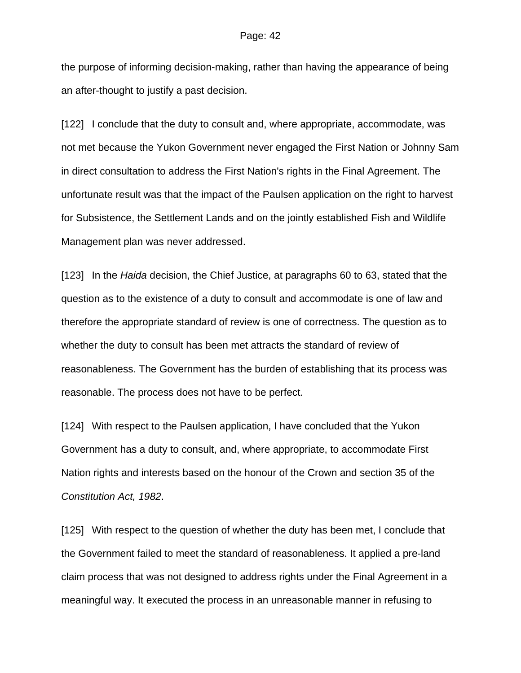the purpose of informing decision-making, rather than having the appearance of being an after-thought to justify a past decision.

[122] I conclude that the duty to consult and, where appropriate, accommodate, was not met because the Yukon Government never engaged the First Nation or Johnny Sam in direct consultation to address the First Nation's rights in the Final Agreement. The unfortunate result was that the impact of the Paulsen application on the right to harvest for Subsistence, the Settlement Lands and on the jointly established Fish and Wildlife Management plan was never addressed.

[123] In the *Haida* decision, the Chief Justice, at paragraphs 60 to 63, stated that the question as to the existence of a duty to consult and accommodate is one of law and therefore the appropriate standard of review is one of correctness. The question as to whether the duty to consult has been met attracts the standard of review of reasonableness. The Government has the burden of establishing that its process was reasonable. The process does not have to be perfect.

[124] With respect to the Paulsen application, I have concluded that the Yukon Government has a duty to consult, and, where appropriate, to accommodate First Nation rights and interests based on the honour of the Crown and section 35 of the *Constitution Act, 1982*.

[125] With respect to the question of whether the duty has been met, I conclude that the Government failed to meet the standard of reasonableness. It applied a pre-land claim process that was not designed to address rights under the Final Agreement in a meaningful way. It executed the process in an unreasonable manner in refusing to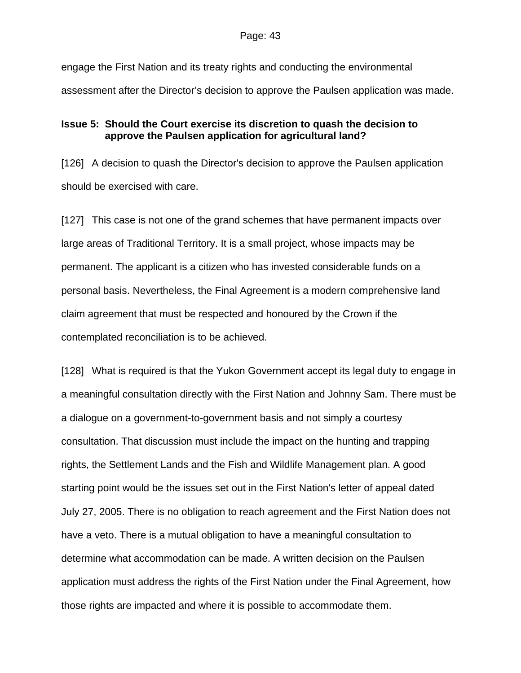engage the First Nation and its treaty rights and conducting the environmental assessment after the Director's decision to approve the Paulsen application was made.

# **Issue 5: Should the Court exercise its discretion to quash the decision to approve the Paulsen application for agricultural land?**

[126] A decision to quash the Director's decision to approve the Paulsen application should be exercised with care.

[127] This case is not one of the grand schemes that have permanent impacts over large areas of Traditional Territory. It is a small project, whose impacts may be permanent. The applicant is a citizen who has invested considerable funds on a personal basis. Nevertheless, the Final Agreement is a modern comprehensive land claim agreement that must be respected and honoured by the Crown if the contemplated reconciliation is to be achieved.

[128] What is required is that the Yukon Government accept its legal duty to engage in a meaningful consultation directly with the First Nation and Johnny Sam. There must be a dialogue on a government-to-government basis and not simply a courtesy consultation. That discussion must include the impact on the hunting and trapping rights, the Settlement Lands and the Fish and Wildlife Management plan. A good starting point would be the issues set out in the First Nation's letter of appeal dated July 27, 2005. There is no obligation to reach agreement and the First Nation does not have a veto. There is a mutual obligation to have a meaningful consultation to determine what accommodation can be made. A written decision on the Paulsen application must address the rights of the First Nation under the Final Agreement, how those rights are impacted and where it is possible to accommodate them.